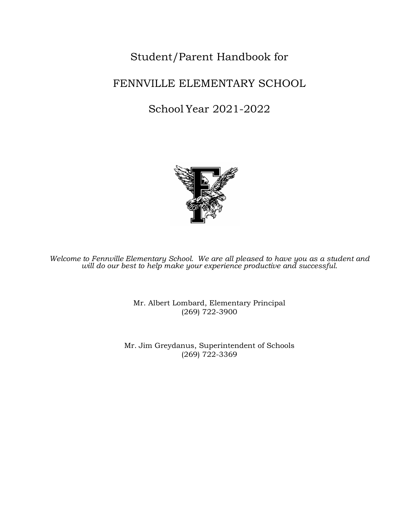# Student/Parent Handbook for

# FENNVILLE ELEMENTARY SCHOOL

# School Year 2021-2022



*Welcome to Fennville Elementary School. We are all pleased to have you as a student and will do our best to help make your experience productive and successful.*

> Mr. Albert Lombard, Elementary Principal (269) 722-3900

Mr. Jim Greydanus, Superintendent of Schools (269) 722-3369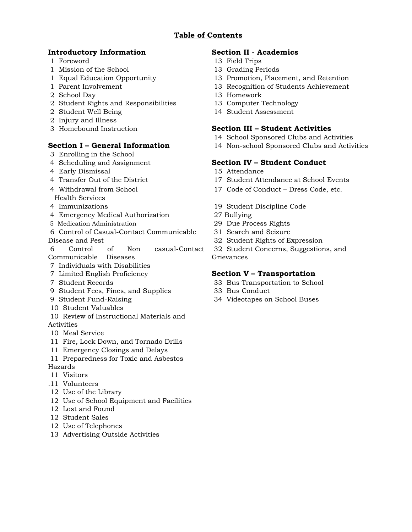# **Table of Contents**

# **Introductory Information Section II - Academics**

- 
- 1 Mission of the School 13 Grading Periods
- 
- 
- School Day 13 Homework
- 2 Student Rights and Responsibilities
- 2 Student Well Being
- Injury and Illness
- 

- Enrolling in the School
- 
- Early Dismissal 15 Attendance
- 
- Withdrawal from School
- Health Services
- 
- Emergency Medical Authorization 27 Bullying
- Medication Administration 29 Due Process Rights
- Control of Casual-Contact Communicable 31 Search and Seizure Disease and Pest 32 Student Rights of Expression
- Control of Non casual-Contact Communicable Diseases
- Individuals with Disabilities
- 
- 
- 9 Student Fees, Fines, and Supplies 33 Bus Conduct
- 
- Student Valuables
- Review of Instructional Materials and Activities
- 10 Meal Service
- Fire, Lock Down, and Tornado Drills
- Emergency Closings and Delays
- Preparedness for Toxic and Asbestos
- Hazards
- Visitors
- .11 Volunteers
- Use of the Library
- Use of School Equipment and Facilities
- Lost and Found
- 12 Student Sales
- Use of Telephones
- Advertising Outside Activities

- 1 Foreword 13 Field Trips
	-
- 1 Equal Education Opportunity 13 Promotion, Placement, and Retention
- Parent Involvement 13 Recognition of Students Achievement
	-
	- Computer Technology
	- 14 Student Assessment

# Homebound Instruction **Section III – Student Activities**

- School Sponsored Clubs and Activities
- **Section I General Information** 14 Non-school Sponsored Clubs and Activities

# Scheduling and Assignment **Section IV – Student Conduct**

- 
- 4 Transfer Out of the District 17 Student Attendance at School Events
	- Code of Conduct Dress Code, etc.
- Immunizations 19 Student Discipline Code
	-
	-
	-
	-
	- Student Concerns, Suggestions, and Grievances

# Limited English Proficiency **Section V – Transportation**

- Student Records 33 Bus Transportation to School
	-
- Student Fund-Raising 34 Videotapes on School Buses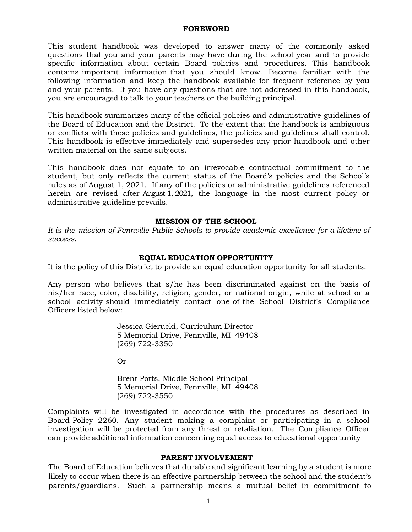#### **FOREWORD**

This student handbook was developed to answer many of the commonly asked questions that you and your parents may have during the school year and to provide specific information about certain Board policies and procedures. This handbook contains important information that you should know. Become familiar with the following information and keep the handbook available for frequent reference by you and your parents. If you have any questions that are not addressed in this handbook, you are encouraged to talk to your teachers or the building principal.

This handbook summarizes many of the official policies and administrative guidelines of the Board of Education and the District. To the extent that the handbook is ambiguous or conflicts with these policies and guidelines, the policies and guidelines shall control. This handbook is effective immediately and supersedes any prior handbook and other written material on the same subjects.

This handbook does not equate to an irrevocable contractual commitment to the student, but only reflects the current status of the Board's policies and the School's rules as of August 1, 2021. If any of the policies or administrative guidelines referenced herein are revised after August 1, 2021, the language in the most current policy or administrative guideline prevails.

#### **MISSION OF THE SCHOOL**

*It is the mission of Fennville Public Schools to provide academic excellence for a lifetime of success.*

#### **EQUAL EDUCATION OPPORTUNITY**

It is the policy of this District to provide an equal education opportunity for all students.

Any person who believes that s/he has been discriminated against on the basis of his/her race, color, disability, religion, gender, or national origin, while at school or a school activity should immediately contact one of the School District's Compliance Officers listed below:

> Jessica Gierucki, Curriculum Director 5 Memorial Drive, Fennville, MI 49408 (269) 722-3350

Or

Brent Potts, Middle School Principal 5 Memorial Drive, Fennville, MI 49408 (269) 722-3550

Complaints will be investigated in accordance with the procedures as described in Board Policy 2260. Any student making a complaint or participating in a school investigation will be protected from any threat or retaliation. The Compliance Officer can provide additional information concerning equal access to educational opportunity

#### **PARENT INVOLVEMENT**

The Board of Education believes that durable and significant learning by a student is more likely to occur when there is an effective partnership between the school and the student's parents/guardians. Such a partnership means a mutual belief in commitment to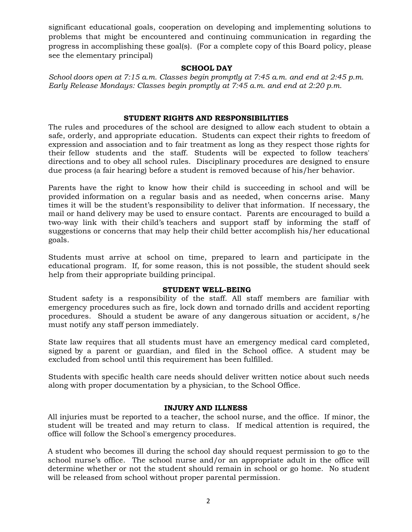significant educational goals, cooperation on developing and implementing solutions to problems that might be encountered and continuing communication in regarding the progress in accomplishing these goal(s). (For a complete copy of this Board policy, please see the elementary principal)

#### **SCHOOL DAY**

*School doors open at 7:15 a.m. Classes begin promptly at 7:45 a.m. and end at 2:45 p.m. Early Release Mondays: Classes begin promptly at 7:45 a.m. and end at 2:20 p.m.* 

#### **STUDENT RIGHTS AND RESPONSIBILITIES**

The rules and procedures of the school are designed to allow each student to obtain a safe, orderly, and appropriate education. Students can expect their rights to freedom of expression and association and to fair treatment as long as they respect those rights for their fellow students and the staff. Students will be expected to follow teachers' directions and to obey all school rules. Disciplinary procedures are designed to ensure due process (a fair hearing) before a student is removed because of his/her behavior.

Parents have the right to know how their child is succeeding in school and will be provided information on a regular basis and as needed, when concerns arise. Many times it will be the student's responsibility to deliver that information. If necessary, the mail or hand delivery may be used to ensure contact. Parents are encouraged to build a two-way link with their child's teachers and support staff by informing the staff of suggestions or concerns that may help their child better accomplish his/her educational goals.

Students must arrive at school on time, prepared to learn and participate in the educational program. If, for some reason, this is not possible, the student should seek help from their appropriate building principal.

#### **STUDENT WELL-BEING**

Student safety is a responsibility of the staff. All staff members are familiar with emergency procedures such as fire, lock down and tornado drills and accident reporting procedures. Should a student be aware of any dangerous situation or accident, s/he must notify any staff person immediately.

State law requires that all students must have an emergency medical card completed, signed by a parent or guardian, and filed in the School office. A student may be excluded from school until this requirement has been fulfilled.

Students with specific health care needs should deliver written notice about such needs along with proper documentation by a physician, to the School Office.

#### **INJURY AND ILLNESS**

All injuries must be reported to a teacher, the school nurse, and the office. If minor, the student will be treated and may return to class. If medical attention is required, the office will follow the School's emergency procedures.

A student who becomes ill during the school day should request permission to go to the school nurse's office. The school nurse and/or an appropriate adult in the office will determine whether or not the student should remain in school or go home. No student will be released from school without proper parental permission.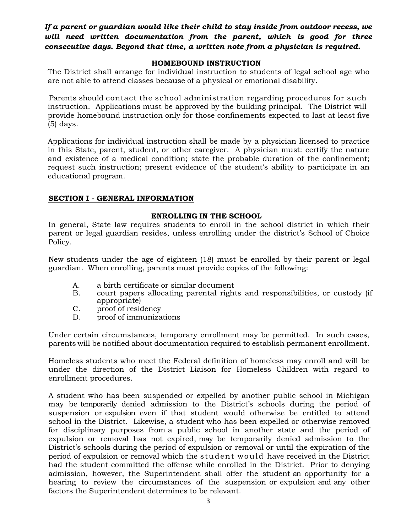# *If a parent or guardian would like their child to stay inside from outdoor recess, we will need written documentation from the parent, which is good for three consecutive days. Beyond that time, a written note from a physician is required.*

# **HOMEBOUND INSTRUCTION**

The District shall arrange for individual instruction to students of legal school age who are not able to attend classes because of a physical or emotional disability.

Parents should contact the school administration regarding procedures for such instruction. Applications must be approved by the building principal. The District will provide homebound instruction only for those confinements expected to last at least five (5) days.

Applications for individual instruction shall be made by a physician licensed to practice in this State, parent, student, or other caregiver. A physician must: certify the nature and existence of a medical condition; state the probable duration of the confinement; request such instruction; present evidence of the student's ability to participate in an educational program.

#### **SECTION I - GENERAL INFORMATION**

# **ENROLLING IN THE SCHOOL**

In general, State law requires students to enroll in the school district in which their parent or legal guardian resides, unless enrolling under the district's School of Choice Policy.

New students under the age of eighteen (18) must be enrolled by their parent or legal guardian. When enrolling, parents must provide copies of the following:

- A. a birth certificate or similar document
- B. court papers allocating parental rights and responsibilities, or custody (if appropriate)
- C. proof of residency
- D. proof of immunizations

Under certain circumstances, temporary enrollment may be permitted. In such cases, parents will be notified about documentation required to establish permanent enrollment.

Homeless students who meet the Federal definition of homeless may enroll and will be under the direction of the District Liaison for Homeless Children with regard to enrollment procedures.

A student who has been suspended or expelled by another public school in Michigan may be temporarily denied admission to the District's schools during the period of suspension or expulsion even if that student would otherwise be entitled to attend school in the District. Likewise, a student who has been expelled or otherwise removed for disciplinary purposes from a public school in another state and the period of expulsion or removal has not expired, may be temporarily denied admission to the District's schools during the period of expulsion or removal or until the expiration of the period of expulsion or removal which the student would have received in the District had the student committed the offense while enrolled in the District. Prior to denying admission, however, the Superintendent shall offer the student an opportunity for a hearing to review the circumstances of the suspension or expulsion and any other factors the Superintendent determines to be relevant.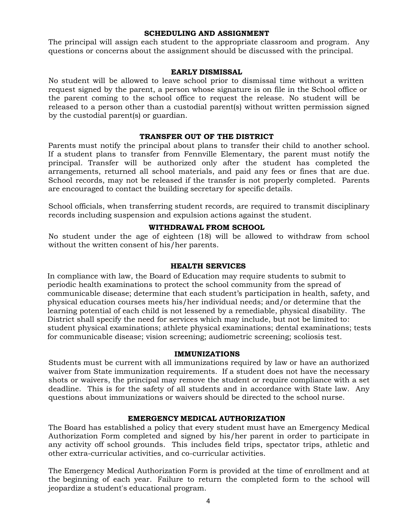# **SCHEDULING AND ASSIGNMENT**

The principal will assign each student to the appropriate classroom and program. Any questions or concerns about the assignment should be discussed with the principal.

#### **EARLY DISMISSAL**

No student will be allowed to leave school prior to dismissal time without a written request signed by the parent, a person whose signature is on file in the School office or the parent coming to the school office to request the release. No student will be released to a person other than a custodial parent(s) without written permission signed by the custodial parent(s) or guardian.

#### **TRANSFER OUT OF THE DISTRICT**

Parents must notify the principal about plans to transfer their child to another school. If a student plans to transfer from Fennville Elementary, the parent must notify the principal. Transfer will be authorized only after the student has completed the arrangements, returned all school materials, and paid any fees or fines that are due. School records, may not be released if the transfer is not properly completed. Parents are encouraged to contact the building secretary for specific details.

School officials, when transferring student records, are required to transmit disciplinary records including suspension and expulsion actions against the student.

#### **WITHDRAWAL FROM SCHOOL**

No student under the age of eighteen (18) will be allowed to withdraw from school without the written consent of his/her parents.

#### **HEALTH SERVICES**

In compliance with law, the Board of Education may require students to submit to periodic health examinations to protect the school community from the spread of communicable disease; determine that each student's participation in health, safety, and physical education courses meets his/her individual needs; and/or determine that the learning potential of each child is not lessened by a remediable, physical disability. The District shall specify the need for services which may include, but not be limited to: student physical examinations; athlete physical examinations; dental examinations; tests for communicable disease; vision screening; audiometric screening; scoliosis test.

#### **IMMUNIZATIONS**

Students must be current with all immunizations required by law or have an authorized waiver from State immunization requirements. If a student does not have the necessary shots or waivers, the principal may remove the student or require compliance with a set deadline. This is for the safety of all students and in accordance with State law. Any questions about immunizations or waivers should be directed to the school nurse.

#### **EMERGENCY MEDICAL AUTHORIZATION**

The Board has established a policy that every student must have an Emergency Medical Authorization Form completed and signed by his/her parent in order to participate in any activity off school grounds. This includes field trips, spectator trips, athletic and other extra-curricular activities, and co-curricular activities.

The Emergency Medical Authorization Form is provided at the time of enrollment and at the beginning of each year. Failure to return the completed form to the school will jeopardize a student's educational program.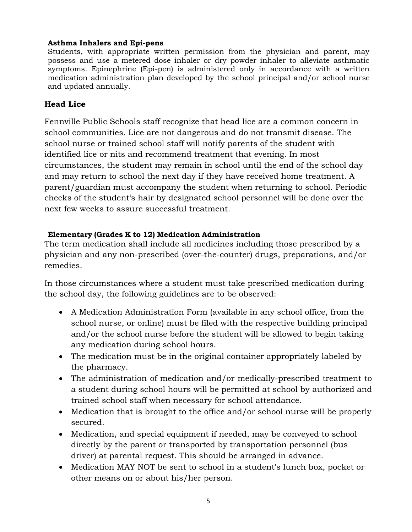# **Asthma Inhalers and Epi-pens**

Students, with appropriate written permission from the physician and parent, may possess and use a metered dose inhaler or dry powder inhaler to alleviate asthmatic symptoms. Epinephrine (Epi-pen) is administered only in accordance with a written medication administration plan developed by the school principal and/or school nurse and updated annually.

# **Head Lice**

Fennville Public Schools staff recognize that head lice are a common concern in school communities. Lice are not dangerous and do not transmit disease. The school nurse or trained school staff will notify parents of the student with identified lice or nits and recommend treatment that evening. In most circumstances, the student may remain in school until the end of the school day and may return to school the next day if they have received home treatment. A parent/guardian must accompany the student when returning to school. Periodic checks of the student's hair by designated school personnel will be done over the next few weeks to assure successful treatment.

# **Elementary (Grades K to 12) Medication Administration**

The term medication shall include all medicines including those prescribed by a physician and any non-prescribed (over-the-counter) drugs, preparations, and/or remedies.

In those circumstances where a student must take prescribed medication during the school day, the following guidelines are to be observed:

- A Medication Administration Form (available in any school office, from the school nurse, or online) must be filed with the respective building principal and/or the school nurse before the student will be allowed to begin taking any medication during school hours.
- The medication must be in the original container appropriately labeled by the pharmacy.
- The administration of medication and/or medically-prescribed treatment to a student during school hours will be permitted at school by authorized and trained school staff when necessary for school attendance.
- Medication that is brought to the office and/or school nurse will be properly secured.
- Medication, and special equipment if needed, may be conveyed to school directly by the parent or transported by transportation personnel (bus driver) at parental request. This should be arranged in advance.
- Medication MAY NOT be sent to school in a student's lunch box, pocket or other means on or about his/her person.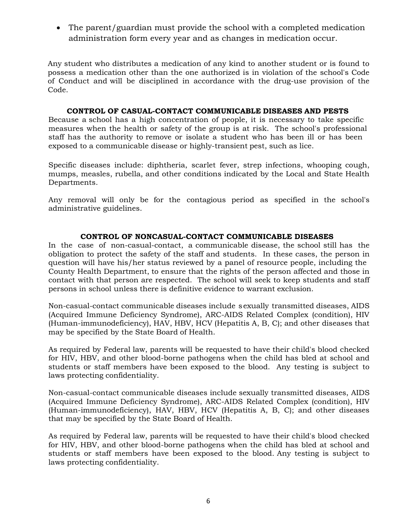• The parent/guardian must provide the school with a completed medication administration form every year and as changes in medication occur.

Any student who distributes a medication of any kind to another student or is found to possess a medication other than the one authorized is in violation of the school's Code of Conduct and will be disciplined in accordance with the drug-use provision of the Code.

#### **CONTROL OF CASUAL-CONTACT COMMUNICABLE DISEASES AND PESTS**

Because a school has a high concentration of people, it is necessary to take specific measures when the health or safety of the group is at risk. The school's professional staff has the authority to remove or isolate a student who has been ill or has been exposed to a communicable disease or highly-transient pest, such as lice.

Specific diseases include: diphtheria, scarlet fever, strep infections, whooping cough, mumps, measles, rubella, and other conditions indicated by the Local and State Health Departments.

Any removal will only be for the contagious period as specified in the school's administrative guidelines.

# **CONTROL OF NONCASUAL-CONTACT COMMUNICABLE DISEASES**

In the case of non-casual-contact, a communicable disease, the school still has the obligation to protect the safety of the staff and students. In these cases, the person in question will have his/her status reviewed by a panel of resource people, including the County Health Department, to ensure that the rights of the person affected and those in contact with that person are respected. The school will seek to keep students and staff persons in school unless there is definitive evidence to warrant exclusion.

Non-casual-contact communicable diseases include s exually transmitted diseases, AIDS (Acquired Immune Deficiency Syndrome), ARC-AIDS Related Complex (condition), HIV (Human-immunodeficiency), HAV, HBV, HCV (Hepatitis A, B, C); and other diseases that may be specified by the State Board of Health.

As required by Federal law, parents will be requested to have their child's blood checked for HIV, HBV, and other blood-borne pathogens when the child has bled at school and students or staff members have been exposed to the blood. Any testing is subject to laws protecting confidentiality.

Non-casual-contact communicable diseases include sexually transmitted diseases, AIDS (Acquired Immune Deficiency Syndrome), ARC-AIDS Related Complex (condition), HIV (Human-immunodeficiency), HAV, HBV, HCV (Hepatitis A, B, C); and other diseases that may be specified by the State Board of Health.

As required by Federal law, parents will be requested to have their child's blood checked for HIV, HBV, and other blood-borne pathogens when the child has bled at school and students or staff members have been exposed to the blood. Any testing is subject to laws protecting confidentiality.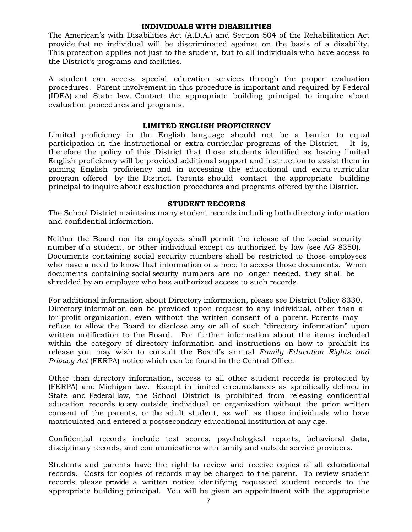#### **INDIVIDUALS WITH DISABILITIES**

The American's with Disabilities Act (A.D.A.) and Section 504 of the Rehabilitation Act provide that no individual will be discriminated against on the basis of a disability. This protection applies not just to the student, but to all individuals who have access to the District's programs and facilities.

A student can access special education services through the proper evaluation procedures. Parent involvement in this procedure is important and required by Federal (IDEA) and State law. Contact the appropriate building principal to inquire about evaluation procedures and programs.

#### **LIMITED ENGLISH PROFICIENCY**

Limited proficiency in the English language should not be a barrier to equal participation in the instructional or extra-curricular programs of the District. It is, therefore the policy of this District that those students identified as having limited English proficiency will be provided additional support and instruction to assist them in gaining English proficiency and in accessing the educational and extra-curricular program offered by the District. Parents should contact the appropriate building principal to inquire about evaluation procedures and programs offered by the District.

#### **STUDENT RECORDS**

The School District maintains many student records including both directory information and confidential information.

Neither the Board nor its employees shall permit the release of the social security number of a student, or other individual except as authorized by law (see AG 8350). Documents containing social security numbers shall be restricted to those employees who have a need to know that information or a need to access those documents. When documents containing social security numbers are no longer needed, they shall be shredded by an employee who has authorized access to such records.

For additional information about Directory information, please see District Policy 8330. Directory information can be provided upon request to any individual, other than a for-profit organization, even without the written consent of a parent. Parents may refuse to allow the Board to disclose any or all of such "directory information" upon written notification to the Board. For further information about the items included within the category of directory information and instructions on how to prohibit its release you may wish to consult the Board's annual *Family Education Rights and Privacy Act* (FERPA) notice which can be found in the Central Office.

Other than directory information, access to all other student records is protected by (FERPA) and Michigan law. Except in limited circumstances as specifically defined in State and Federal law, the School District is prohibited from releasing confidential education records to any outside individual or organization without the prior written consent of the parents, or the adult student, as well as those individuals who have matriculated and entered a postsecondary educational institution at any age.

Confidential records include test scores, psychological reports, behavioral data, disciplinary records, and communications with family and outside service providers.

Students and parents have the right to review and receive copies of all educational records. Costs for copies of records may be charged to the parent. To review student records please provide a written notice identifying requested student records to the appropriate building principal. You will be given an appointment with the appropriate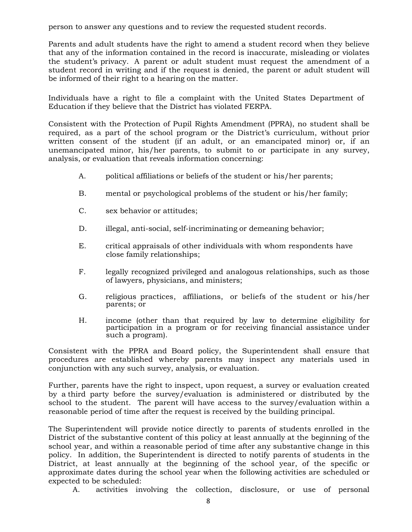person to answer any questions and to review the requested student records.

Parents and adult students have the right to amend a student record when they believe that any of the information contained in the record is inaccurate, misleading or violates the student's privacy. A parent or adult student must request the amendment of a student record in writing and if the request is denied, the parent or adult student will be informed of their right to a hearing on the matter.

Individuals have a right to file a complaint with the United States Department of Education if they believe that the District has violated FERPA.

Consistent with the Protection of Pupil Rights Amendment (PPRA), no student shall be required, as a part of the school program or the District's curriculum, without prior written consent of the student (if an adult, or an emancipated minor) or, if an unemancipated minor, his/her parents, to submit to or participate in any survey, analysis, or evaluation that reveals information concerning:

- A. political affiliations or beliefs of the student or his/her parents;
- B. mental or psychological problems of the student or his/her family;
- C. sex behavior or attitudes;
- D. illegal, anti-social, self-incriminating or demeaning behavior;
- E. critical appraisals of other individuals with whom respondents have close family relationships;
- F. legally recognized privileged and analogous relationships, such as those of lawyers, physicians, and ministers;
- G. religious practices, affiliations, or beliefs of the student or his/her parents; or
- H. income (other than that required by law to determine eligibility for participation in a program or for receiving financial assistance under such a program).

Consistent with the PPRA and Board policy, the Superintendent shall ensure that procedures are established whereby parents may inspect any materials used in conjunction with any such survey, analysis, or evaluation.

Further, parents have the right to inspect, upon request, a survey or evaluation created by a third party before the survey/evaluation is administered or distributed by the school to the student. The parent will have access to the survey/evaluation within a reasonable period of time after the request is received by the building principal.

The Superintendent will provide notice directly to parents of students enrolled in the District of the substantive content of this policy at least annually at the beginning of the school year, and within a reasonable period of time after any substantive change in this policy. In addition, the Superintendent is directed to notify parents of students in the District, at least annually at the beginning of the school year, of the specific or approximate dates during the school year when the following activities are scheduled or expected to be scheduled:

A. activities involving the collection, disclosure, or use of personal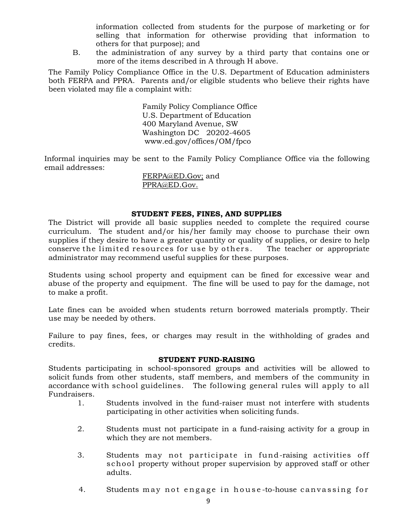information collected from students for the purpose of marketing or for selling that information for otherwise providing that information to others for that purpose); and

B. the administration of any survey by a third party that contains one or more of the items described in A through H above.

The Family Policy Compliance Office in the U.S. Department of Education administers both FERPA and PPRA. Parents and/or eligible students who believe their rights have been violated may file a complaint with:

> Family Policy Compliance Office U.S. Department of Education 400 Maryland Avenue, SW Washington DC 20202-4605 [www.ed.gov/offices/OM/fpco](http://www.ed.gov/offices/OM/fpco)

Informal inquiries may be sent to the Family Policy Compliance Office via the following email addresses:

> [FERPA@ED.Gov;](mailto:FERPA@ED.Gov) and [PPRA@ED.Gov.](mailto:PPRA@ED.Gov)

# **STUDENT FEES, FINES, AND SUPPLIES**

The District will provide all basic supplies needed to complete the required course curriculum. The student and/or his/her family may choose to purchase their own supplies if they desire to have a greater quantity or quality of supplies, or desire to help conserve the limited resources for use by others. The teacher or appropriate administrator may recommend useful supplies for these purposes.

Students using school property and equipment can be fined for excessive wear and abuse of the property and equipment. The fine will be used to pay for the damage, not to make a profit.

Late fines can be avoided when students return borrowed materials promptly. Their use may be needed by others.

Failure to pay fines, fees, or charges may result in the withholding of grades and credits.

# **STUDENT FUND-RAISING**

Students participating in school-sponsored groups and activities will be allowed to solicit funds from other students, staff members, and members of the community in accordance with school guidelines. The following general rules will apply to all Fundraisers.

- 1. Students involved in the fund-raiser must not interfere with students participating in other activities when soliciting funds.
- 2. Students must not participate in a fund-raising activity for a group in which they are not members.
- 3. Students may not participate in fund-raising activities off school property without proper supervision by approved staff or other adults.
- 4. Students may not engage in house-to-house canvassing for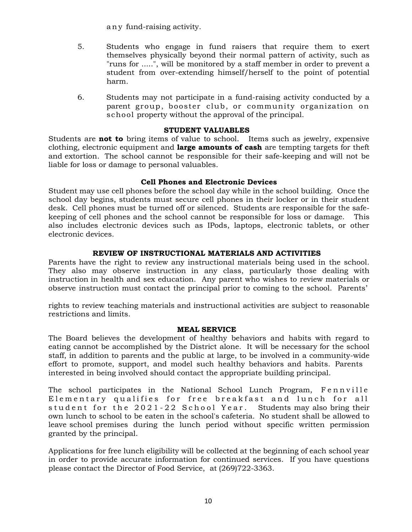any fund-raising activity.

- 5. Students who engage in fund raisers that require them to exert themselves physically beyond their normal pattern of activity, such as "runs for .....", will be monitored by a staff member in order to prevent a student from over-extending himself/herself to the point of potential harm.
- 6. Students may not participate in a fund-raising activity conducted by a parent group, booster club, or community organization on school property without the approval of the principal.

# **STUDENT VALUABLES**

Students are **not to** bring items of value to school. Items such as jewelry, expensive clothing, electronic equipment and **large amounts of cash** are tempting targets for theft and extortion. The school cannot be responsible for their safe-keeping and will not be liable for loss or damage to personal valuables.

# **Cell Phones and Electronic Devices**

Student may use cell phones before the school day while in the school building. Once the school day begins, students must secure cell phones in their locker or in their student desk. Cell phones must be turned off or silenced. Students are responsible for the safekeeping of cell phones and the school cannot be responsible for loss or damage. This also includes electronic devices such as IPods, laptops, electronic tablets, or other electronic devices.

# **REVIEW OF INSTRUCTIONAL MATERIALS AND ACTIVITIES**

Parents have the right to review any instructional materials being used in the school. They also may observe instruction in any class, particularly those dealing with instruction in health and sex education. Any parent who wishes to review materials or observe instruction must contact the principal prior to coming to the school. Parents'

rights to review teaching materials and instructional activities are subject to reasonable restrictions and limits.

#### **MEAL SERVICE**

The Board believes the development of healthy behaviors and habits with regard to eating cannot be accomplished by the District alone. It will be necessary for the school staff, in addition to parents and the public at large, to be involved in a community-wide effort to promote, support, and model such healthy behaviors and habits. Parents interested in being involved should contact the appropriate building principal.

The school participates in the National School Lunch Program, Fennville Elementary qualifies for free breakfast and lunch for all student for the 2021-22 School Year. Students may also bring their own lunch to school to be eaten in the school's cafeteria. No student shall be allowed to leave school premises during the lunch period without specific written permission granted by the principal.

Applications for free lunch eligibility will be collected at the beginning of each school year in order to provide accurate information for continued services. If you have questions please contact the Director of Food Service, at (269)722-3363.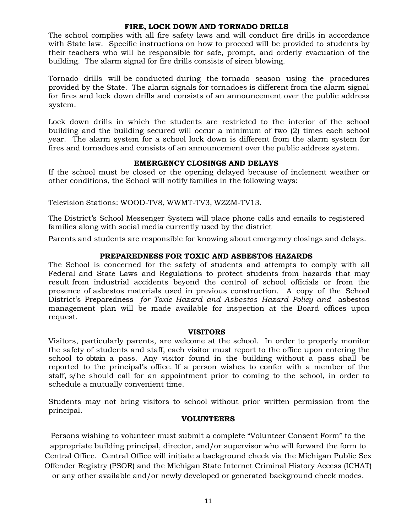#### **FIRE, LOCK DOWN AND TORNADO DRILLS**

The school complies with all fire safety laws and will conduct fire drills in accordance with State law. Specific instructions on how to proceed will be provided to students by their teachers who will be responsible for safe, prompt, and orderly evacuation of the building. The alarm signal for fire drills consists of siren blowing.

Tornado drills will be conducted during the tornado season using the procedures provided by the State. The alarm signals for tornadoes is different from the alarm signal for fires and lock down drills and consists of an announcement over the public address system.

Lock down drills in which the students are restricted to the interior of the school building and the building secured will occur a minimum of two (2) times each school year. The alarm system for a school lock down is different from the alarm system for fires and tornadoes and consists of an announcement over the public address system.

# **EMERGENCY CLOSINGS AND DELAYS**

If the school must be closed or the opening delayed because of inclement weather or other conditions, the School will notify families in the following ways:

Television Stations: WOOD-TV8, WWMT-TV3, WZZM-TV13.

The District's School Messenger System will place phone calls and emails to registered families along with social media currently used by the district

Parents and students are responsible for knowing about emergency closings and delays.

# **PREPAREDNESS FOR TOXIC AND ASBESTOS HAZARDS**

The School is concerned for the safety of students and attempts to comply with all Federal and State Laws and Regulations to protect students from hazards that may result from industrial accidents beyond the control of school officials or from the presence of asbestos materials used in previous construction. A copy of the School District's Preparedness *for Toxic Hazard and Asbestos Hazard Policy and* asbestos management plan will be made available for inspection at the Board offices upon request.

#### **VISITORS**

Visitors, particularly parents, are welcome at the school. In order to properly monitor the safety of students and staff, each visitor must report to the office upon entering the school to obtain a pass. Any visitor found in the building without a pass shall be reported to the principal's office. If a person wishes to confer with a member of the staff, s/he should call for an appointment prior to coming to the school, in order to schedule a mutually convenient time.

Students may not bring visitors to school without prior written permission from the principal.

#### **VOLUNTEERS**

Persons wishing to volunteer must submit a complete "Volunteer Consent Form" to the appropriate building principal, director, and/or supervisor who will forward the form to Central Office. Central Office will initiate a background check via the Michigan Public Sex Offender Registry (PSOR) and the Michigan State Internet Criminal History Access (ICHAT) or any other available and/or newly developed or generated background check modes.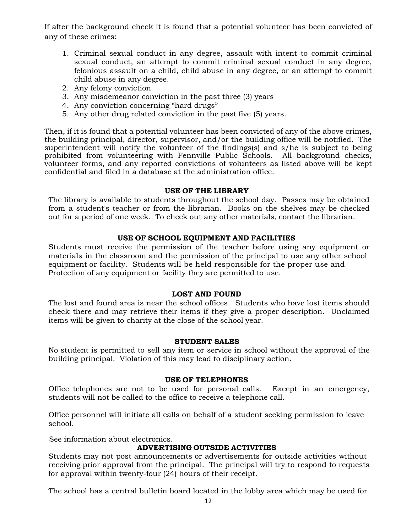If after the background check it is found that a potential volunteer has been convicted of any of these crimes:

- 1. Criminal sexual conduct in any degree, assault with intent to commit criminal sexual conduct, an attempt to commit criminal sexual conduct in any degree, felonious assault on a child, child abuse in any degree, or an attempt to commit child abuse in any degree.
- 2. Any felony conviction
- 3. Any misdemeanor conviction in the past three (3) years
- 4. Any conviction concerning "hard drugs"
- 5. Any other drug related conviction in the past five (5) years.

Then, if it is found that a potential volunteer has been convicted of any of the above crimes, the building principal, director, supervisor, and/or the building office will be notified. The superintendent will notify the volunteer of the findings(s) and s/he is subject to being prohibited from volunteering with Fennville Public Schools. All background checks, volunteer forms, and any reported convictions of volunteers as listed above will be kept confidential and filed in a database at the administration office.

#### **USE OF THE LIBRARY**

The library is available to students throughout the school day. Passes may be obtained from a student's teacher or from the librarian. Books on the shelves may be checked out for a period of one week. To check out any other materials, contact the librarian.

#### **USE OF SCHOOL EQUIPMENT AND FACILITIES**

Students must receive the permission of the teacher before using any equipment or materials in the classroom and the permission of the principal to use any other school equipment or facility. Students will be held responsible for the proper use and Protection of any equipment or facility they are permitted to use.

#### **LOST AND FOUND**

The lost and found area is near the school offices. Students who have lost items should check there and may retrieve their items if they give a proper description. Unclaimed items will be given to charity at the close of the school year.

#### **STUDENT SALES**

No student is permitted to sell any item or service in school without the approval of the building principal. Violation of this may lead to disciplinary action.

#### **USE OF TELEPHONES**

Office telephones are not to be used for personal calls. Except in an emergency, students will not be called to the office to receive a telephone call.

Office personnel will initiate all calls on behalf of a student seeking permission to leave school.

See information about electronics.

# **ADVERTISING OUTSIDE ACTIVITIES**

Students may not post announcements or advertisements for outside activities without receiving prior approval from the principal. The principal will try to respond to requests for approval within twenty-four (24) hours of their receipt.

The school has a central bulletin board located in the lobby area which may be used for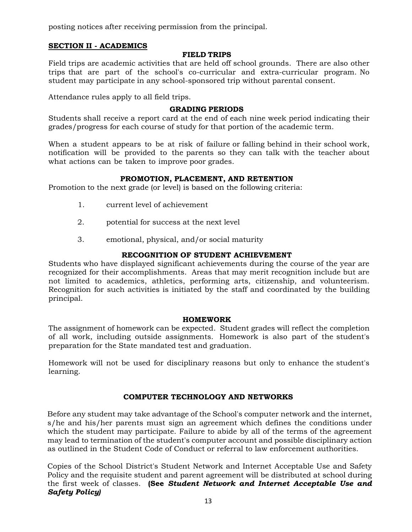posting notices after receiving permission from the principal.

#### **SECTION II - ACADEMICS**

# **FIELD TRIPS**

Field trips are academic activities that are held off school grounds. There are also other trips that are part of the school's co-curricular and extra-curricular program. No student may participate in any school-sponsored trip without parental consent.

Attendance rules apply to all field trips.

# **GRADING PERIODS**

Students shall receive a report card at the end of each nine week period indicating their grades/progress for each course of study for that portion of the academic term.

When a student appears to be at risk of failure or falling behind in their school work, notification will be provided to the parents so they can talk with the teacher about what actions can be taken to improve poor grades.

# **PROMOTION, PLACEMENT, AND RETENTION**

Promotion to the next grade (or level) is based on the following criteria:

- 1. current level of achievement
- 2. potential for success at the next level
- 3. emotional, physical, and/or social maturity

# **RECOGNITION OF STUDENT ACHIEVEMENT**

Students who have displayed significant achievements during the course of the year are recognized for their accomplishments. Areas that may merit recognition include but are not limited to academics, athletics, performing arts, citizenship, and volunteerism. Recognition for such activities is initiated by the staff and coordinated by the building principal.

#### **HOMEWORK**

The assignment of homework can be expected. Student grades will reflect the completion of all work, including outside assignments. Homework is also part of the student's preparation for the State mandated test and graduation.

Homework will not be used for disciplinary reasons but only to enhance the student's learning.

#### **COMPUTER TECHNOLOGY AND NETWORKS**

Before any student may take advantage of the School's computer network and the internet, s/he and his/her parents must sign an agreement which defines the conditions under which the student may participate. Failure to abide by all of the terms of the agreement may lead to termination of the student's computer account and possible disciplinary action as outlined in the Student Code of Conduct or referral to law enforcement authorities.

Copies of the School District's Student Network and Internet Acceptable Use and Safety Policy and the requisite student and parent agreement will be distributed at school during the first week of classes. **(See** *Student Network and Internet Acceptable Use and Safety Policy)*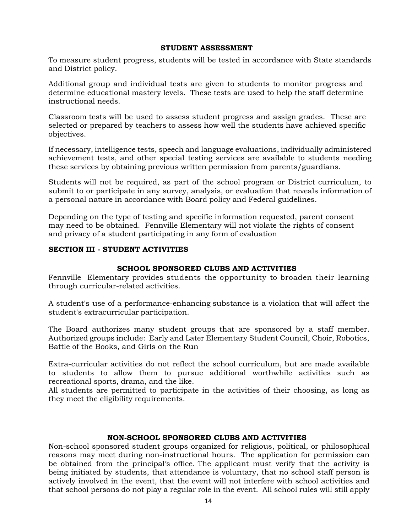#### **STUDENT ASSESSMENT**

To measure student progress, students will be tested in accordance with State standards and District policy.

Additional group and individual tests are given to students to monitor progress and determine educational mastery levels. These tests are used to help the staff determine instructional needs.

Classroom tests will be used to assess student progress and assign grades. These are selected or prepared by teachers to assess how well the students have achieved specific objectives.

If necessary, intelligence tests, speech and language evaluations, individually administered achievement tests, and other special testing services are available to students needing these services by obtaining previous written permission from parents/guardians.

Students will not be required, as part of the school program or District curriculum, to submit to or participate in any survey, analysis, or evaluation that reveals information of a personal nature in accordance with Board policy and Federal guidelines.

Depending on the type of testing and specific information requested, parent consent may need to be obtained. Fennville Elementary will not violate the rights of consent and privacy of a student participating in any form of evaluation

# **SECTION III - STUDENT ACTIVITIES**

#### **SCHOOL SPONSORED CLUBS AND ACTIVITIES**

Fennville Elementary provides students the opportunity to broaden their learning through curricular-related activities.

A student's use of a performance-enhancing substance is a violation that will affect the student's extracurricular participation.

The Board authorizes many student groups that are sponsored by a staff member. Authorized groups include: Early and Later Elementary Student Council, Choir, Robotics, Battle of the Books, and Girls on the Run

Extra-curricular activities do not reflect the school curriculum, but are made available to students to allow them to pursue additional worthwhile activities such as recreational sports, drama, and the like.

All students are permitted to participate in the activities of their choosing, as long as they meet the eligibility requirements.

#### **NON-SCHOOL SPONSORED CLUBS AND ACTIVITIES**

Non-school sponsored student groups organized for religious, political, or philosophical reasons may meet during non-instructional hours. The application for permission can be obtained from the principal's office. The applicant must verify that the activity is being initiated by students, that attendance is voluntary, that no school staff person is actively involved in the event, that the event will not interfere with school activities and that school persons do not play a regular role in the event. All school rules will still apply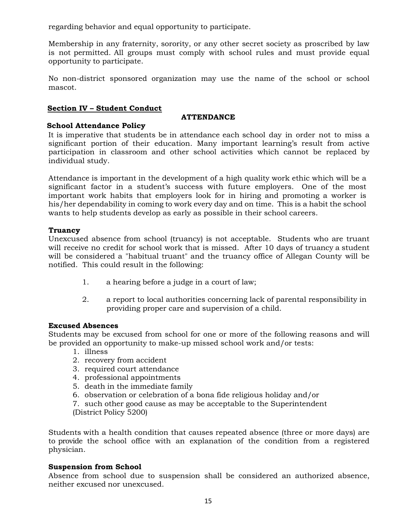regarding behavior and equal opportunity to participate.

Membership in any fraternity, sorority, or any other secret society as proscribed by law is not permitted. All groups must comply with school rules and must provide equal opportunity to participate.

No non-district sponsored organization may use the name of the school or school mascot.

# **Section IV – Student Conduct**

#### **ATTENDANCE**

# **School Attendance Policy**

It is imperative that students be in attendance each school day in order not to miss a significant portion of their education. Many important learning's result from active participation in classroom and other school activities which cannot be replaced by individual study.

Attendance is important in the development of a high quality work ethic which will be a significant factor in a student's success with future employers. One of the most important work habits that employers look for in hiring and promoting a worker is his/her dependability in coming to work every day and on time. This is a habit the school wants to help students develop as early as possible in their school careers.

#### **Truancy**

Unexcused absence from school (truancy) is not acceptable. Students who are truant will receive no credit for school work that is missed. After 10 days of truancy a student will be considered a "habitual truant" and the truancy office of Allegan County will be notified. This could result in the following:

- 1. a hearing before a judge in a court of law;
- 2. a report to local authorities concerning lack of parental responsibility in providing proper care and supervision of a child.

#### **Excused Absences**

Students may be excused from school for one or more of the following reasons and will be provided an opportunity to make-up missed school work and/or tests:

- 1. illness
- 2. recovery from accident
- 3. required court attendance
- 4. professional appointments
- 5. death in the immediate family
- 6. observation or celebration of a bona fide religious holiday and/or
- 7. such other good cause as may be acceptable to the Superintendent

(District Policy 5200)

Students with a health condition that causes repeated absence (three or more days) are to provide the school office with an explanation of the condition from a registered physician.

#### **Suspension from School**

Absence from school due to suspension shall be considered an authorized absence, neither excused nor unexcused.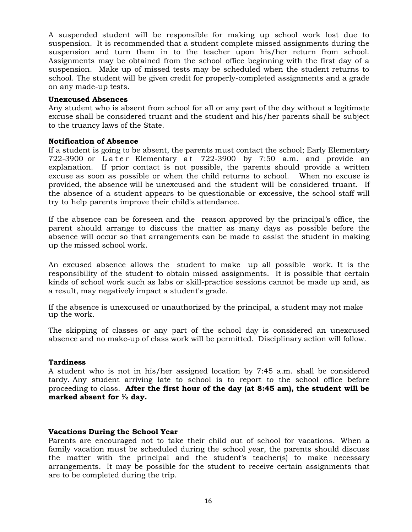A suspended student will be responsible for making up school work lost due to suspension. It is recommended that a student complete missed assignments during the suspension and turn them in to the teacher upon his/her return from school. Assignments may be obtained from the school office beginning with the first day of a suspension. Make up of missed tests may be scheduled when the student returns to school. The student will be given credit for properly-completed assignments and a grade on any made-up tests.

#### **Unexcused Absences**

Any student who is absent from school for all or any part of the day without a legitimate excuse shall be considered truant and the student and his/her parents shall be subject to the truancy laws of the State.

#### **Notification of Absence**

If a student is going to be absent, the parents must contact the school; Early Elementary  $722-3900$  or Later Elementary at  $722-3900$  by  $7:50$  a.m. and provide an explanation. If prior contact is not possible, the parents should provide a written excuse as soon as possible or when the child returns to school. When no excuse is provided, the absence will be unexcused and the student will be considered truant. If the absence of a student appears to be questionable or excessive, the school staff will try to help parents improve their child's attendance.

If the absence can be foreseen and the reason approved by the principal's office, the parent should arrange to discuss the matter as many days as possible before the absence will occur so that arrangements can be made to assist the student in making up the missed school work.

An excused absence allows the student to make up all possible work. It is the responsibility of the student to obtain missed assignments. It is possible that certain kinds of school work such as labs or skill-practice sessions cannot be made up and, as a result, may negatively impact a student's grade.

If the absence is unexcused or unauthorized by the principal, a student may not make up the work.

The skipping of classes or any part of the school day is considered an unexcused absence and no make-up of class work will be permitted. Disciplinary action will follow.

#### **Tardiness**

A student who is not in his/her assigned location by 7:45 a.m. shall be considered tardy. Any student arriving late to school is to report to the school office before proceeding to class. **After the first hour of the day (at 8:45 am), the student will be marked absent for ½ day.**

#### **Vacations During the School Year**

Parents are encouraged not to take their child out of school for vacations. When a family vacation must be scheduled during the school year, the parents should discuss the matter with the principal and the student's teacher(s) to make necessary arrangements. It may be possible for the student to receive certain assignments that are to be completed during the trip.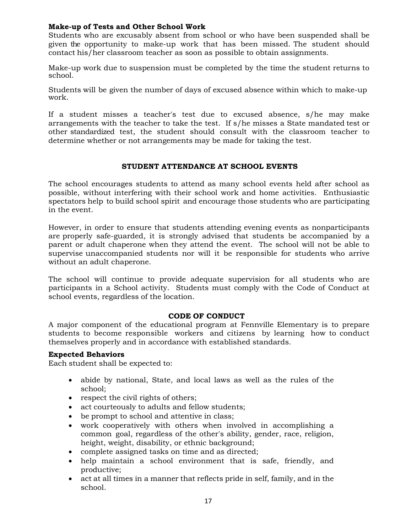# **Make-up of Tests and Other School Work**

Students who are excusably absent from school or who have been suspended shall be given the opportunity to make-up work that has been missed. The student should contact his/her classroom teacher as soon as possible to obtain assignments.

Make-up work due to suspension must be completed by the time the student returns to school.

Students will be given the number of days of excused absence within which to make-up work.

If a student misses a teacher's test due to excused absence, s/he may make arrangements with the teacher to take the test. If s/he misses a State mandated test or other standardized test, the student should consult with the classroom teacher to determine whether or not arrangements may be made for taking the test.

# **STUDENT ATTENDANCE AT SCHOOL EVENTS**

The school encourages students to attend as many school events held after school as possible, without interfering with their school work and home activities. Enthusiastic spectators help to build school spirit and encourage those students who are participating in the event.

However, in order to ensure that students attending evening events as nonparticipants are properly safe-guarded, it is strongly advised that students be accompanied by a parent or adult chaperone when they attend the event. The school will not be able to supervise unaccompanied students nor will it be responsible for students who arrive without an adult chaperone.

The school will continue to provide adequate supervision for all students who are participants in a School activity. Students must comply with the Code of Conduct at school events, regardless of the location.

#### **CODE OF CONDUCT**

A major component of the educational program at Fennville Elementary is to prepare students to become responsible workers and citizens by learning how to conduct themselves properly and in accordance with established standards.

# **Expected Behaviors**

Each student shall be expected to:

- abide by national, State, and local laws as well as the rules of the school;
- respect the civil rights of others;
- act courteously to adults and fellow students;
- be prompt to school and attentive in class;
- work cooperatively with others when involved in accomplishing a common goal, regardless of the other's ability, gender, race, religion, height, weight, disability, or ethnic background;
- complete assigned tasks on time and as directed;
- help maintain a school environment that is safe, friendly, and productive;
- act at all times in a manner that reflects pride in self, family, and in the school.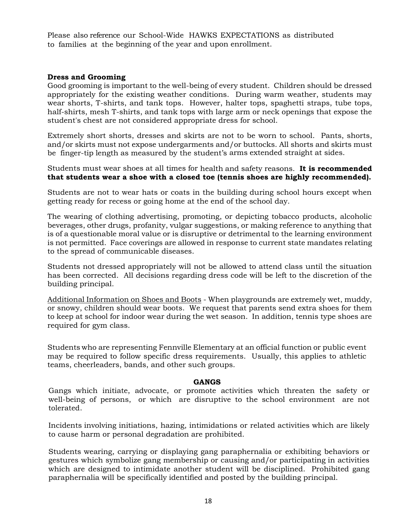Please also reference our School-Wide HAWKS EXPECTATIONS as distributed to families at the beginning of the year and upon enrollment.

# **Dress and Grooming**

Good grooming is important to the well-being of every student. Children should be dressed appropriately for the existing weather conditions. During warm weather, students may wear shorts, T-shirts, and tank tops. However, halter tops, spaghetti straps, tube tops, half-shirts, mesh T-shirts, and tank tops with large arm or neck openings that expose the student's chest are not considered appropriate dress for school.

Extremely short shorts, dresses and skirts are not to be worn to school. Pants, shorts, and/or skirts must not expose undergarments and/or buttocks. All shorts and skirts must be finger-tip length as measured by the student's arms extended straight at sides.

Students must wear shoes at all times for health and safety reasons. **It is recommended that students wear a shoe with a closed toe (tennis shoes are highly recommended).**

Students are not to wear hats or coats in the building during school hours except when getting ready for recess or going home at the end of the school day.

The wearing of clothing advertising, promoting, or depicting tobacco products, alcoholic beverages, other drugs, profanity, vulgar suggestions, or making reference to anything that is of a questionable moral value or is disruptive or detrimental to the learning environment is not permitted. Face coverings are allowed in response to current state mandates relating to the spread of communicable diseases.

Students not dressed appropriately will not be allowed to attend class until the situation has been corrected. All decisions regarding dress code will be left to the discretion of the building principal.

Additional Information on Shoes and Boots - When playgrounds are extremely wet, muddy, or snowy, children should wear boots. We request that parents send extra shoes for them to keep at school for indoor wear during the wet season. In addition, tennis type shoes are required for gym class.

Students who are representing Fennville Elementary at an official function or public event may be required to follow specific dress requirements. Usually, this applies to athletic teams, cheerleaders, bands, and other such groups.

#### **GANGS**

Gangs which initiate, advocate, or promote activities which threaten the safety or well-being of persons, or which are disruptive to the school environment are not tolerated.

Incidents involving initiations, hazing, intimidations or related activities which are likely to cause harm or personal degradation are prohibited.

Students wearing, carrying or displaying gang paraphernalia or exhibiting behaviors or gestures which symbolize gang membership or causing and/or participating in activities which are designed to intimidate another student will be disciplined. Prohibited gang paraphernalia will be specifically identified and posted by the building principal.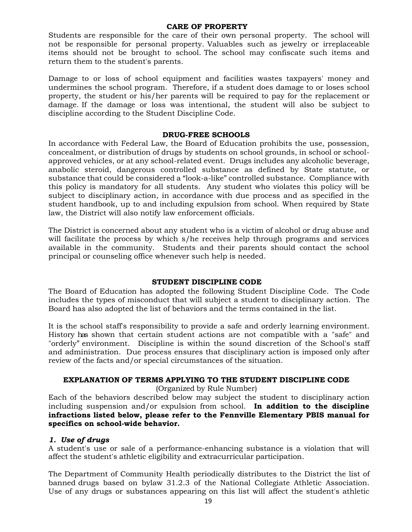#### **CARE OF PROPERTY**

Students are responsible for the care of their own personal property. The school will not be responsible for personal property. Valuables such as jewelry or irreplaceable items should not be brought to school. The school may confiscate such items and return them to the student's parents.

Damage to or loss of school equipment and facilities wastes taxpayers' money and undermines the school program. Therefore, if a student does damage to or loses school property, the student or his/her parents will be required to pay for the replacement or damage. If the damage or loss was intentional, the student will also be subject to discipline according to the Student Discipline Code.

#### **DRUG-FREE SCHOOLS**

In accordance with Federal Law, the Board of Education prohibits the use, possession, concealment, or distribution of drugs by students on school grounds, in school or schoolapproved vehicles, or at any school-related event. Drugs includes any alcoholic beverage, anabolic steroid, dangerous controlled substance as defined by State statute, or substance that could be considered a "look-a-like" controlled substance. Compliance with this policy is mandatory for all students. Any student who violates this policy will be subject to disciplinary action, in accordance with due process and as specified in the student handbook, up to and including expulsion from school. When required by State law, the District will also notify law enforcement officials.

The District is concerned about any student who is a victim of alcohol or drug abuse and will facilitate the process by which s/he receives help through programs and services available in the community. Students and their parents should contact the school principal or counseling office whenever such help is needed.

#### **STUDENT DISCIPLINE CODE**

The Board of Education has adopted the following Student Discipline Code. The Code includes the types of misconduct that will subject a student to disciplinary action. The Board has also adopted the list of behaviors and the terms contained in the list.

It is the school staff's responsibility to provide a safe and orderly learning environment. History has shown that certain student actions are not compatible with a "safe" and "orderly" environment. Discipline is within the sound discretion of the School's staff and administration. Due process ensures that disciplinary action is imposed only after review of the facts and/or special circumstances of the situation.

#### **EXPLANATION OF TERMS APPLYING TO THE STUDENT DISCIPLINE CODE**

(Organized by Rule Number)

Each of the behaviors described below may subject the student to disciplinary action including suspension and/or expulsion from school. **In addition to the discipline infractions listed below, please refer to the Fennville Elementary PBIS manual for specifics on school-wide behavior.** 

#### *1. Use of drugs*

A student's use or sale of a performance-enhancing substance is a violation that will affect the student's athletic eligibility and extracurricular participation.

The Department of Community Health periodically distributes to the District the list of banned drugs based on bylaw 31.2.3 of the National Collegiate Athletic Association. Use of any drugs or substances appearing on this list will affect the student's athletic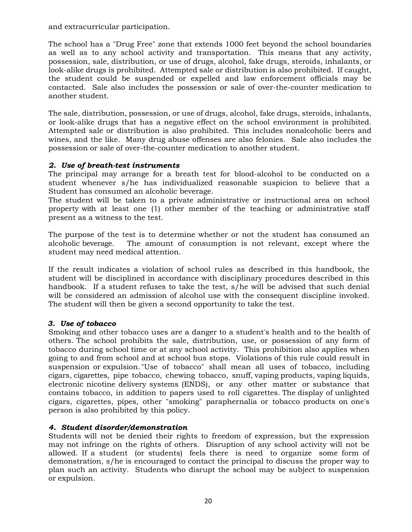and extracurricular participation.

The school has a "Drug Free" zone that extends 1000 feet beyond the school boundaries as well as to any school activity and transportation. This means that any activity, possession, sale, distribution, or use of drugs, alcohol, fake drugs, steroids, inhalants, or look-alike drugs is prohibited. Attempted sale or distribution is also prohibited. If caught, the student could be suspended or expelled and law enforcement officials may be contacted. Sale also includes the possession or sale of over-the-counter medication to another student.

The sale, distribution, possession, or use of drugs, alcohol, fake drugs, steroids, inhalants, or look-alike drugs that has a negative effect on the school environment is prohibited. Attempted sale or distribution is also prohibited. This includes nonalcoholic beers and wines, and the like. Many drug abuse offenses are also felonies. Sale also includes the possession or sale of over-the-counter medication to another student.

# *2. Use of breath-test instruments*

The principal may arrange for a breath test for blood-alcohol to be conducted on a student whenever s/he has individualized reasonable suspicion to believe that a Student has consumed an alcoholic beverage.

The student will be taken to a private administrative or instructional area on school property with at least one (1) other member of the teaching or administrative staff present as a witness to the test.

The purpose of the test is to determine whether or not the student has consumed an alcoholic beverage. The amount of consumption is not relevant, except where the student may need medical attention.

If the result indicates a violation of school rules as described in this handbook, the student will be disciplined in accordance with disciplinary procedures described in this handbook. If a student refuses to take the test, s/he will be advised that such denial will be considered an admission of alcohol use with the consequent discipline invoked. The student will then be given a second opportunity to take the test.

# *3. Use of tobacco*

Smoking and other tobacco uses are a danger to a student's health and to the health of others. The school prohibits the sale, distribution, use, or possession of any form of tobacco during school time or at any school activity. This prohibition also applies when going to and from school and at school bus stops. Violations of this rule could result in suspension or expulsion."Use of tobacco" shall mean all uses of tobacco, including cigars, cigarettes, pipe tobacco, chewing tobacco, snuff, vaping products, vaping liquids, electronic nicotine delivery systems (ENDS), or any other matter or substance that contains tobacco, in addition to papers used to roll cigarettes. The display of unlighted cigars, cigarettes, pipes, other "smoking" paraphernalia or tobacco products on one's person is also prohibited by this policy.

# *4. Student disorder/demonstration*

Students will not be denied their rights to freedom of expression, but the expression may not infringe on the rights of others. Disruption of any school activity will not be allowed. If a student (or students) feels there is need to organize some form of demonstration, s/he is encouraged to contact the principal to discuss the proper way to plan such an activity. Students who disrupt the school may be subject to suspension or expulsion.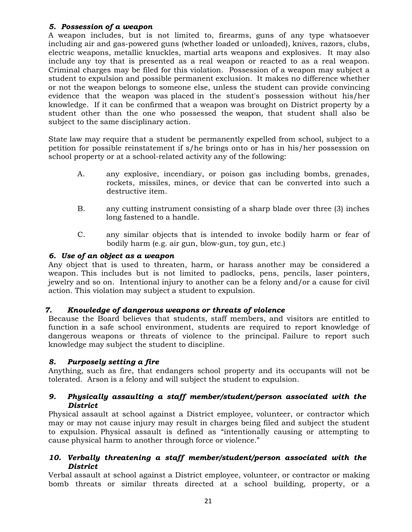# *5. Possession of a weapon*

A weapon includes, but is not limited to, firearms, guns of any type whatsoever including air and gas-powered guns (whether loaded or unloaded), knives, razors, clubs, electric weapons, metallic knuckles, martial arts weapons and explosives. It may also include any toy that is presented as a real weapon or reacted to as a real weapon. Criminal charges may be filed for this violation. Possession of a weapon may subject a student to expulsion and possible permanent exclusion. It makes no difference whether or not the weapon belongs to someone else, unless the student can provide convincing evidence that the weapon was placed in the student's possession without his/her knowledge. If it can be confirmed that a weapon was brought on District property by a student other than the one who possessed the weapon, that student shall also be subject to the same disciplinary action.

State law may require that a student be permanently expelled from school*,* subject to a petition for possible reinstatement if s/he brings onto or has in his/her possession on school property or at a school-related activity any of the following:

- A. any explosive, incendiary, or poison gas including bombs, grenades, rockets, missiles, mines, or device that can be converted into such a destructive item.
- B. any cutting instrument consisting of a sharp blade over three (3) inches long fastened to a handle.
- C. any similar objects that is intended to invoke bodily harm or fear of bodily harm (e.g. air gun, blow-gun, toy gun, etc.)

# *6. Use of an object as a weapon*

Any object that is used to threaten, harm, or harass another may be considered a weapon. This includes but is not limited to padlocks, pens, pencils, laser pointers, jewelry and so on. Intentional injury to another can be a felony and/or a cause for civil action. This violation may subject a student to expulsion.

# *7. Knowledge of dangerous weapons or threats of violence*

Because the Board believes that students, staff members, and visitors are entitled to function in a safe school environment, students are required to report knowledge of dangerous weapons or threats of violence to the principal. Failure to report such knowledge may subject the student to discipline.

# *8. Purposely setting a fire*

Anything, such as fire, that endangers school property and its occupants will not be tolerated. Arson is a felony and will subject the student to expulsion.

# *9. Physically assaulting a staff member/student/person associated with the District*

Physical assault at school against a District employee, volunteer, or contractor which may or may not cause injury may result in charges being filed and subject the student to expulsion. Physical assault is defined as "intentionally causing or attempting to cause physical harm to another through force or violence."

# *10. Verbally threatening a staff member/student/person associated with the District*

Verbal assault at school against a District employee, volunteer, or contractor or making bomb threats or similar threats directed at a school building, property, or a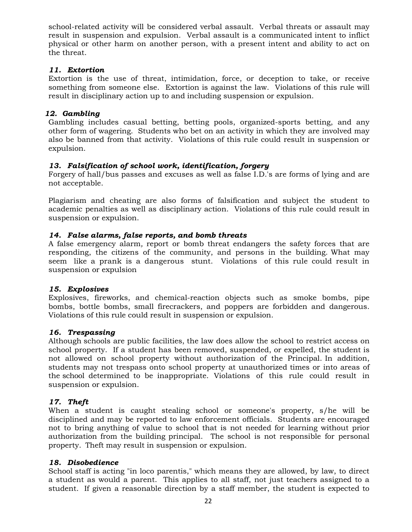school-related activity will be considered verbal assault. Verbal threats or assault may result in suspension and expulsion. Verbal assault is a communicated intent to inflict physical or other harm on another person, with a present intent and ability to act on the threat.

# *11. Extortion*

Extortion is the use of threat, intimidation, force, or deception to take, or receive something from someone else. Extortion is against the law. Violations of this rule will result in disciplinary action up to and including suspension or expulsion.

# *12. Gambling*

Gambling includes casual betting, betting pools, organized-sports betting, and any other form of wagering. Students who bet on an activity in which they are involved may also be banned from that activity. Violations of this rule could result in suspension or expulsion.

# *13. Falsification of school work, identification, forgery*

Forgery of hall/bus passes and excuses as well as false I.D.'s are forms of lying and are not acceptable.

Plagiarism and cheating are also forms of falsification and subject the student to academic penalties as well as disciplinary action. Violations of this rule could result in suspension or expulsion.

# *14. False alarms, false reports, and bomb threats*

A false emergency alarm*,* report or bomb threat endangers the safety forces that are responding, the citizens of the community, and persons in the building. What may seem like a prank is a dangerous stunt. Violations of this rule could result in suspension or expulsion

#### *15. Explosives*

Explosives, fireworks, and chemical-reaction objects such as smoke bombs, pipe bombs, bottle bombs, small firecrackers, and poppers are forbidden and dangerous. Violations of this rule could result in suspension or expulsion.

# *16. Trespassing*

Although schools are public facilities, the law does allow the school to restrict access on school property. If a student has been removed, suspended, or expelled, the student is not allowed on school property without authorization of the Principal. In addition, students may not trespass onto school property at unauthorized times or into areas of the school determined to be inappropriate. Violations of this rule could result in suspension or expulsion.

#### *17. Theft*

When a student is caught stealing school or someone's property, s/he will be disciplined and may be reported to law enforcement officials. Students are encouraged not to bring anything of value to school that is not needed for learning without prior authorization from the building principal. The school is not responsible for personal property. Theft may result in suspension or expulsion.

#### *18. Disobedience*

School staff is acting "in loco parentis," which means they are allowed, by law, to direct a student as would a parent. This applies to all staff, not just teachers assigned to a student. If given a reasonable direction by a staff member, the student is expected to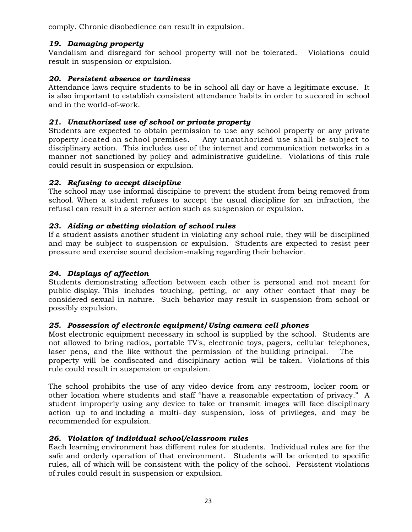comply. Chronic disobedience can result in expulsion.

# *19. Damaging property*

Vandalism and disregard for school property will not be tolerated. Violations could result in suspension or expulsion.

# *20. Persistent absence or tardiness*

Attendance laws require students to be in school all day or have a legitimate excuse. It is also important to establish consistent attendance habits in order to succeed in school and in the world-of-work.

# *21. Unauthorized use of school or private property*

Students are expected to obtain permission to use any school property or any private property located on school premises. Any unauthorized use shall be subject to disciplinary action. This includes use of the internet and communication networks in a manner not sanctioned by policy and administrative guideline. Violations of this rule could result in suspension or expulsion.

# *22. Refusing to accept discipline*

The school may use informal discipline to prevent the student from being removed from school. When a student refuses to accept the usual discipline for an infraction, the refusal can result in a sterner action such as suspension or expulsion.

# *23. Aiding or abetting violation of school rules*

If a student assists another student in violating any school rule, they will be disciplined and may be subject to suspension or expulsion. Students are expected to resist peer pressure and exercise sound decision-making regarding their behavior.

# *24. Displays of affection*

Students demonstrating affection between each other is personal and not meant for public display. This includes touching, petting, or any other contact that may be considered sexual in nature. Such behavior may result in suspension from school or possibly expulsion.

# *25. Possession of electronic equipment***/***Using camera cell phones*

Most electronic equipment necessary in school is supplied by the school. Students are not allowed to bring radios, portable TV's, electronic toys, pagers, cellular telephones, laser pens, and the like without the permission of the building principal. The property will be confiscated and disciplinary action will be taken. Violations of this rule could result in suspension or expulsion.

The school prohibits the use of any video device from any restroom, locker room or other location where students and staff "have a reasonable expectation of privacy." A student improperly using any device to take or transmit images will face disciplinary action up to and including a multi- day suspension, loss of privileges, and may be recommended for expulsion.

# *26. Violation of individual school/classroom rules*

Each learning environment has different rules for students. Individual rules are for the safe and orderly operation of that environment. Students will be oriented to specific rules, all of which will be consistent with the policy of the school. Persistent violations of rules could result in suspension or expulsion.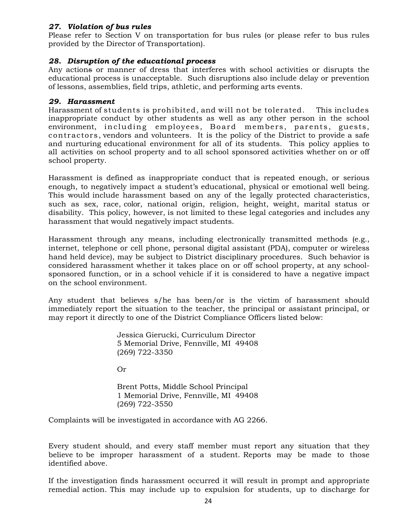# *27. Violation of bus rules*

Please refer to Section V on transportation for bus rules (or please refer to bus rules provided by the Director of Transportation).

# *28. Disruption of the educational process*

Any actions or manner of dress that interferes with school activities or disrupts the educational process is unacceptable. Such disruptions also include delay or prevention of lessons, assemblies, field trips, athletic, and performing arts events.

# *29. Harassment*

Harassment of students is prohibited, and will not be tolerated. This includes inappropriate conduct by other students as well as any other person in the school environment, including employees, Board members, parents, guests, contractors, vendors and volunteers. It is the policy of the District to provide a safe and nurturing educational environment for all of its students. This policy applies to all activities on school property and to all school sponsored activities whether on or off school property.

Harassment is defined as inappropriate conduct that is repeated enough, or serious enough, to negatively impact a student's educational, physical or emotional well being. This would include harassment based on any of the legally protected characteristics, such as sex, race, color, national origin, religion, height, weight, marital status or disability. This policy, however, is not limited to these legal categories and includes any harassment that would negatively impact students.

Harassment through any means, including electronically transmitted methods (e.g., internet, telephone or cell phone, personal digital assistant (PDA), computer or wireless hand held device), may be subject to District disciplinary procedures. Such behavior is considered harassment whether it takes place on or off school property, at any schoolsponsored function, or in a school vehicle if it is considered to have a negative impact on the school environment.

Any student that believes s/he has been/or is the victim of harassment should immediately report the situation to the teacher, the principal or assistant principal, or may report it directly to one of the District Compliance Officers listed below:

> Jessica Gierucki, Curriculum Director 5 Memorial Drive, Fennville, MI 49408 (269) 722-3350

Or

Brent Potts, Middle School Principal 1 Memorial Drive, Fennville, MI 49408 (269) 722-3550

Complaints will be investigated in accordance with AG 2266.

Every student should, and every staff member must report any situation that they believe to be improper harassment of a student. Reports may be made to those identified above.

If the investigation finds harassment occurred it will result in prompt and appropriate remedial action. This may include up to expulsion for students, up to discharge for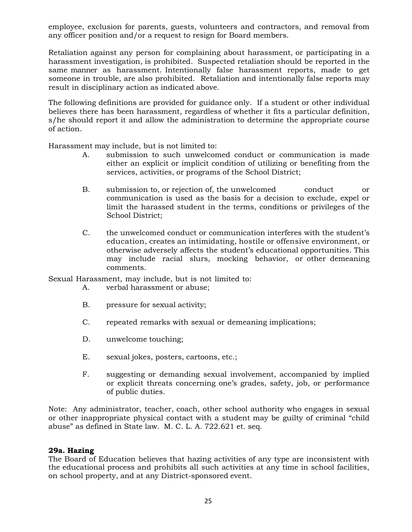employee, exclusion for parents, guests, volunteers and contractors, and removal from any officer position and/or a request to resign for Board members.

Retaliation against any person for complaining about harassment, or participating in a harassment investigation, is prohibited. Suspected retaliation should be reported in the same manner as harassment. Intentionally false harassment reports, made to get someone in trouble, are also prohibited. Retaliation and intentionally false reports may result in disciplinary action as indicated above.

The following definitions are provided for guidance only. If a student or other individual believes there has been harassment, regardless of whether it fits a particular definition, s/he should report it and allow the administration to determine the appropriate course of action.

Harassment may include, but is not limited to:

- A. submission to such unwelcomed conduct or communication is made either an explicit or implicit condition of utilizing or benefiting from the services, activities, or programs of the School District;
- B. submission to, or rejection of, the unwelcomed conduct or communication is used as the basis for a decision to exclude, expel or limit the harassed student in the terms, conditions or privileges of the School District;
- C. the unwelcomed conduct or communication interferes with the student's education, creates an intimidating, hostile or offensive environment, or otherwise adversely affects the student's educational opportunities. This may include racial slurs, mocking behavior, or other demeaning comments.

Sexual Harassment, may include, but is not limited to:

- A. verbal harassment or abuse;
- B. pressure for sexual activity;
- C. repeated remarks with sexual or demeaning implications;
- D. unwelcome touching;
- E. sexual jokes, posters, cartoons, etc.;
- F. suggesting or demanding sexual involvement, accompanied by implied or explicit threats concerning one's grades, safety, job, or performance of public duties.

Note: Any administrator, teacher, coach, other school authority who engages in sexual or other inappropriate physical contact with a student may be guilty of criminal "child abuse" as defined in State law. M. C. L. A. 722.621 et. seq.

#### **29a. Hazing**

The Board of Education believes that hazing activities of any type are inconsistent with the educational process and prohibits all such activities at any time in school facilities, on school property, and at any District-sponsored event.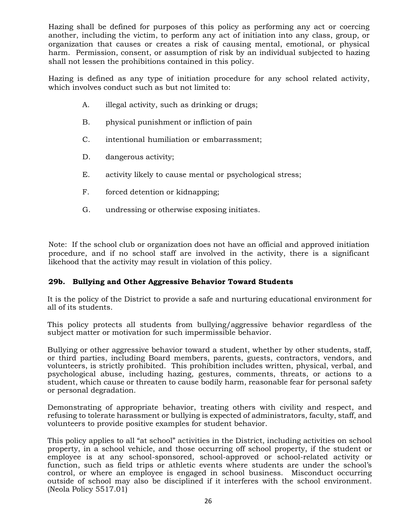Hazing shall be defined for purposes of this policy as performing any act or coercing another, including the victim, to perform any act of initiation into any class, group, or organization that causes or creates a risk of causing mental, emotional, or physical harm. Permission, consent, or assumption of risk by an individual subjected to hazing shall not lessen the prohibitions contained in this policy.

Hazing is defined as any type of initiation procedure for any school related activity, which involves conduct such as but not limited to:

- A. illegal activity, such as drinking or drugs;
- B. physical punishment or infliction of pain
- C. intentional humiliation or embarrassment;
- D. dangerous activity;
- E. activity likely to cause mental or psychological stress;
- F. forced detention or kidnapping;
- G. undressing or otherwise exposing initiates.

Note: If the school club or organization does not have an official and approved initiation procedure, and if no school staff are involved in the activity, there is a significant likehood that the activity may result in violation of this policy.

# **29b. Bullying and Other Aggressive Behavior Toward Students**

It is the policy of the District to provide a safe and nurturing educational environment for all of its students.

This policy protects all students from bullying/aggressive behavior regardless of the subject matter or motivation for such impermissible behavior.

Bullying or other aggressive behavior toward a student, whether by other students, staff, or third parties, including Board members, parents, guests, contractors, vendors, and volunteers, is strictly prohibited. This prohibition includes written, physical, verbal, and psychological abuse, including hazing, gestures, comments, threats, or actions to a student, which cause or threaten to cause bodily harm, reasonable fear for personal safety or personal degradation.

Demonstrating of appropriate behavior, treating others with civility and respect, and refusing to tolerate harassment or bullying is expected of administrators, faculty, staff, and volunteers to provide positive examples for student behavior.

This policy applies to all "at school" activities in the District, including activities on school property, in a school vehicle, and those occurring off school property, if the student or employee is at any school-sponsored, school-approved or school-related activity or function, such as field trips or athletic events where students are under the school's control, or where an employee is engaged in school business. Misconduct occurring outside of school may also be disciplined if it interferes with the school environment. (Neola Policy 5517.01)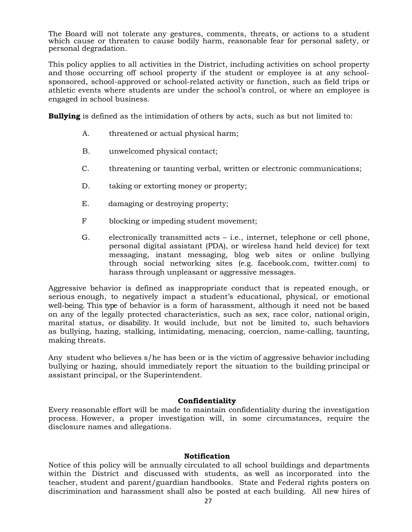The Board will not tolerate any gestures, comments, threats, or actions to a student which cause or threaten to cause bodily harm, reasonable fear for personal safety, or personal degradation.

This policy applies to all activities in the District, including activities on school property and those occurring off school property if the student or employee is at any schoolsponsored, school-approved or school-related activity or function, such as field trips or athletic events where students are under the school's control, or where an employee is engaged in school business.

**Bullying** is defined as the intimidation of others by acts, such as but not limited to:

- A. threatened or actual physical harm;
- B. unwelcomed physical contact;
- C. threatening or taunting verbal, written or electronic communications;
- D. taking or extorting money or property;
- E. damaging or destroying property;
- F blocking or impeding student movement;
- G. electronically transmitted acts i.e., internet, telephone or cell phone, personal digital assistant (PDA), or wireless hand held device) for text messaging, instant messaging, blog web sites or online bullying through social networking sites (e.g. facebook.com, twitter.com) to harass through unpleasant or aggressive messages.

Aggressive behavior is defined as inappropriate conduct that is repeated enough, or serious enough, to negatively impact a student's educational, physical, or emotional well-being. This type of behavior is a form of harassment, although it need not be based on any of the legally protected characteristics, such as sex, race color, national origin, marital status, or disability. It would include, but not be limited to, such behaviors as bullying, hazing, stalking, intimidating, menacing, coercion, name-calling, taunting, making threats.

Any student who believes s/he has been or is the victim of aggressive behavior including bullying or hazing, should immediately report the situation to the building principal or assistant principal, or the Superintendent.

#### **Confidentiality**

Every reasonable effort will be made to maintain confidentiality during the investigation process. However, a proper investigation will, in some circumstances, require the disclosure names and allegations.

#### **Notification**

Notice of this policy will be annually circulated to all school buildings and departments within the District and discussed with students, as well as incorporated into the teacher, student and parent/guardian handbooks. State and Federal rights posters on discrimination and harassment shall also be posted at each building. All new hires of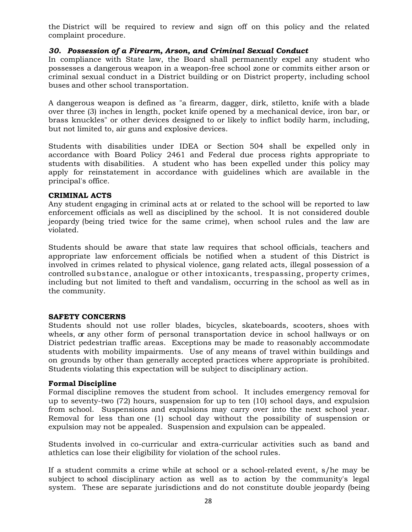the District will be required to review and sign off on this policy and the related complaint procedure.

# *30. Possession of a Firearm, Arson, and Criminal Sexual Conduct*

In compliance with State law, the Board shall permanently expel any student who possesses a dangerous weapon in a weapon-free school zone or commits either arson or criminal sexual conduct in a District building or on District property, including school buses and other school transportation.

A dangerous weapon is defined as "a firearm, dagger, dirk, stiletto, knife with a blade over three (3) inches in length, pocket knife opened by a mechanical device, iron bar, or brass knuckles" or other devices designed to or likely to inflict bodily harm, including, but not limited to, air guns and explosive devices.

Students with disabilities under IDEA or Section 504 shall be expelled only in accordance with Board Policy 2461 and Federal due process rights appropriate to students with disabilities. A student who has been expelled under this policy may apply for reinstatement in accordance with guidelines which are available in the principal's office.

#### **CRIMINAL ACTS**

Any student engaging in criminal acts at or related to the school will be reported to law enforcement officials as well as disciplined by the school. It is not considered double jeopardy (being tried twice for the same crime), when school rules and the law are violated.

Students should be aware that state law requires that school officials, teachers and appropriate law enforcement officials be notified when a student of this District is involved in crimes related to physical violence, gang related acts, illegal possession of a controlled substance, analogue or other intoxicants, trespassing, property crimes, including but not limited to theft and vandalism, occurring in the school as well as in the community.

#### **SAFETY CONCERNS**

Students should not use roller blades, bicycles, skateboards, scooters, shoes with wheels, or any other form of personal transportation device in school hallways or on District pedestrian traffic areas. Exceptions may be made to reasonably accommodate students with mobility impairments. Use of any means of travel within buildings and on grounds by other than generally accepted practices where appropriate is prohibited. Students violating this expectation will be subject to disciplinary action.

#### **Formal Discipline**

Formal discipline removes the student from school. It includes emergency removal for up to seventy-two (72) hours, suspension for up to ten (10) school days, and expulsion from school. Suspensions and expulsions may carry over into the next school year. Removal for less than one (1) school day without the possibility of suspension or expulsion may not be appealed. Suspension and expulsion can be appealed.

Students involved in co-curricular and extra-curricular activities such as band and athletics can lose their eligibility for violation of the school rules.

If a student commits a crime while at school or a school-related event, s/he may be subject to school disciplinary action as well as to action by the community's legal system. These are separate jurisdictions and do not constitute double jeopardy (being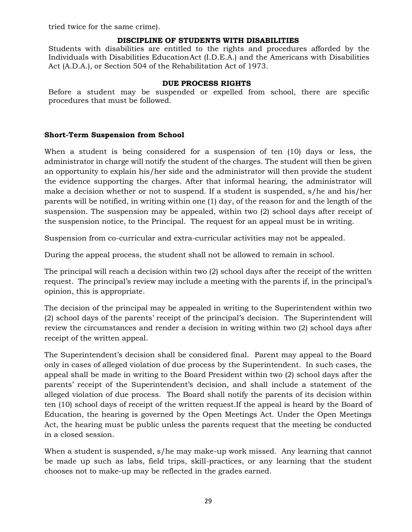tried twice for the same crime).

# **DISCIPLINE OF STUDENTS WITH DISABILITIES**

Students with disabilities are entitled to the rights and procedures afforded by the Individuals with Disabilities EducationAct (I.D.E.A.) and the Americans with Disabilities Act (A.D.A.), or Section 504 of the Rehabilitation Act of 1973.

# **DUE PROCESS RIGHTS**

Before a student may be suspended or expelled from school, there are specific procedures that must be followed.

# **Short-Term Suspension from School**

When a student is being considered for a suspension of ten (10) days or less, the administrator in charge will notify the student of the charges. The student will then be given an opportunity to explain his/her side and the administrator will then provide the student the evidence supporting the charges. After that informal hearing, the administrator will make a decision whether or not to suspend. If a student is suspended, s/he and his/her parents will be notified, in writing within one (1) day, of the reason for and the length of the suspension. The suspension may be appealed, within two (2) school days after receipt of the suspension notice, to the Principal. The request for an appeal must be in writing.

Suspension from co-curricular and extra-curricular activities may not be appealed.

During the appeal process, the student shall not be allowed to remain in school.

The principal will reach a decision within two (2) school days after the receipt of the written request. The principal's review may include a meeting with the parents if, in the principal's opinion, this is appropriate.

The decision of the principal may be appealed in writing to the Superintendent within two (2) school days of the parents' receipt of the principal's decision. The Superintendent will review the circumstances and render a decision in writing within two (2) school days after receipt of the written appeal.

The Superintendent's decision shall be considered final. Parent may appeal to the Board only in cases of alleged violation of due process by the Superintendent. In such cases, the appeal shall be made in writing to the Board President within two (2) school days after the parents' receipt of the Superintendent's decision, and shall include a statement of the alleged violation of due process. The Board shall notify the parents of its decision within ten (10) school days of receipt of the written request.If the appeal is heard by the Board of Education, the hearing is governed by the Open Meetings Act. Under the Open Meetings Act, the hearing must be public unless the parents request that the meeting be conducted in a closed session.

When a student is suspended, s/he may make-up work missed. Any learning that cannot be made up such as labs, field trips, skill-practices, or any learning that the student chooses not to make-up may be reflected in the grades earned.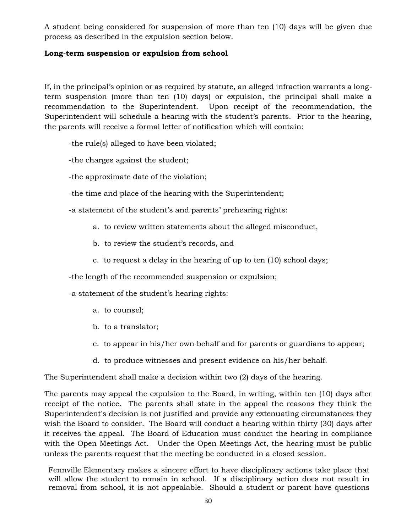A student being considered for suspension of more than ten (10) days will be given due process as described in the expulsion section below.

# **Long-term suspension or expulsion from school**

If, in the principal's opinion or as required by statute, an alleged infraction warrants a longterm suspension (more than ten (10) days) or expulsion, the principal shall make a recommendation to the Superintendent. Upon receipt of the recommendation, the Superintendent will schedule a hearing with the student's parents. Prior to the hearing, the parents will receive a formal letter of notification which will contain:

-the rule(s) alleged to have been violated;

-the charges against the student;

-the approximate date of the violation;

-the time and place of the hearing with the Superintendent;

-a statement of the student's and parents' prehearing rights:

- a. to review written statements about the alleged misconduct,
- b. to review the student's records, and
- c. to request a delay in the hearing of up to ten (10) school days;

-the length of the recommended suspension or expulsion;

-a statement of the student's hearing rights:

- a. to counsel;
- b. to a translator;
- c. to appear in his/her own behalf and for parents or guardians to appear;
- d. to produce witnesses and present evidence on his/her behalf.

The Superintendent shall make a decision within two (2) days of the hearing.

The parents may appeal the expulsion to the Board, in writing, within ten (10) days after receipt of the notice. The parents shall state in the appeal the reasons they think the Superintendent's decision is not justified and provide any extenuating circumstances they wish the Board to consider. The Board will conduct a hearing within thirty (30) days after it receives the appeal. The Board of Education must conduct the hearing in compliance with the Open Meetings Act. Under the Open Meetings Act, the hearing must be public unless the parents request that the meeting be conducted in a closed session.

Fennville Elementary makes a sincere effort to have disciplinary actions take place that will allow the student to remain in school. If a disciplinary action does not result in removal from school, it is not appealable. Should a student or parent have questions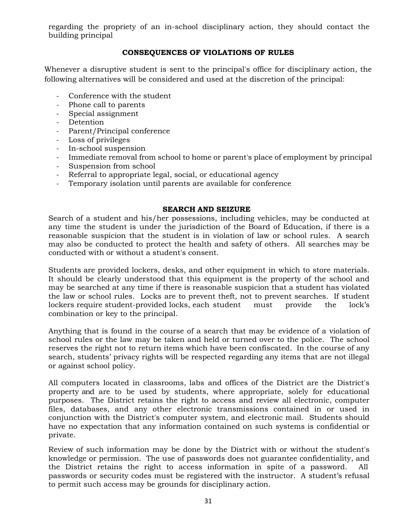regarding the propriety of an in-school disciplinary action, they should contact the building principal

# **CONSEQUENCES OF VIOLATIONS OF RULES**

Whenever a disruptive student is sent to the principal's office for disciplinary action, the following alternatives will be considered and used at the discretion of the principal:

- Conference with the student
- Phone call to parents
- Special assignment
- Detention
- Parent/Principal conference
- Loss of privileges
- In-school suspension
- Immediate removal from school to home or parent's place of employment by principal
- Suspension from school
- Referral to appropriate legal, social, or educational agency
- Temporary isolation until parents are available for conference

# **SEARCH AND SEIZURE**

Search of a student and his/her possessions, including vehicles, may be conducted at any time the student is under the jurisdiction of the Board of Education, if there is a reasonable suspicion that the student is in violation of law or school rules. A search may also be conducted to protect the health and safety of others. All searches may be conducted with or without a student's consent.

Students are provided lockers, desks, and other equipment in which to store materials. It should be clearly understood that this equipment is the property of the school and may be searched at any time if there is reasonable suspicion that a student has violated the law or school rules. Locks are to prevent theft, not to prevent searches. If student lockers require student-provided locks, each student must provide the lock's combination or key to the principal.

Anything that is found in the course of a search that may be evidence of a violation of school rules or the law may be taken and held or turned over to the police. The school reserves the right not to return items which have been confiscated. In the course of any search, students' privacy rights will be respected regarding any items that are not illegal or against school policy.

All computers located in classrooms, labs and offices of the District are the District's property and are to be used by students, where appropriate, solely for educational purposes. The District retains the right to access and review all electronic, computer files, databases, and any other electronic transmissions contained in or used in conjunction with the District's computer system, and electronic mail. Students should have no expectation that any information contained on such systems is confidential or private.

Review of such information may be done by the District with or without the student's knowledge or permission. The use of passwords does not guarantee confidentiality, and the District retains the right to access information in spite of a password. All passwords or security codes must be registered with the instructor. A student's refusal to permit such access may be grounds for disciplinary action.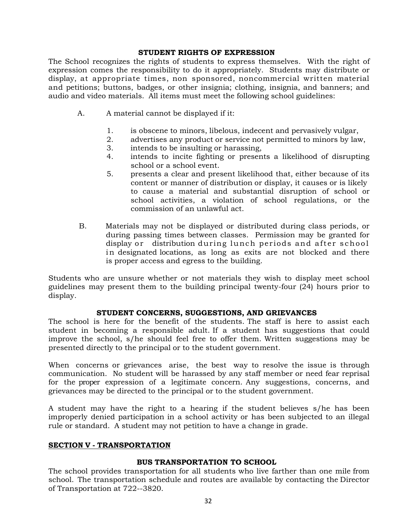#### **STUDENT RIGHTS OF EXPRESSION**

The School recognizes the rights of students to express themselves. With the right of expression comes the responsibility to do it appropriately. Students may distribute or display, at appropriate times, non sponsored, noncommercial written material and petitions; buttons, badges, or other insignia; clothing, insignia, and banners; and audio and video materials. All items must meet the following school guidelines:

- A. A material cannot be displayed if it:
	- 1. is obscene to minors, libelous, indecent and pervasively vulgar,
	- 2. advertises any product or service not permitted to minors by law,
	- 3. intends to be insulting or harassing,
	- 4. intends to incite fighting or presents a likelihood of disrupting school or a school event.
	- 5. presents a clear and present likelihood that, either because of its content or manner of distribution or display, it causes or is likely to cause a material and substantial disruption of school or school activities, a violation of school regulations, or the commission of an unlawful act.
- B. Materials may not be displayed or distributed during class periods, or during passing times between classes. Permission may be granted for display or distribution during lunch periods and after school in designated locations, as long as exits are not blocked and there is proper access and egress to the building.

Students who are unsure whether or not materials they wish to display meet school guidelines may present them to the building principal twenty-four (24) hours prior to display.

#### **STUDENT CONCERNS, SUGGESTIONS, AND GRIEVANCES**

The school is here for the benefit of the students. The staff is here to assist each student in becoming a responsible adult. If a student has suggestions that could improve the school, s/he should feel free to offer them. Written suggestions may be presented directly to the principal or to the student government.

When concerns or grievances arise, the best way to resolve the issue is through communication. No student will be harassed by any staff member or need fear reprisal for the proper expression of a legitimate concern. Any suggestions, concerns, and grievances may be directed to the principal or to the student government.

A student may have the right to a hearing if the student believes s/he has been improperly denied participation in a school activity or has been subjected to an illegal rule or standard. A student may not petition to have a change in grade.

#### **SECTION V - TRANSPORTATION**

#### **BUS TRANSPORTATION TO SCHOOL**

The school provides transportation for all students who live farther than one mile from school. The transportation schedule and routes are available by contacting the Director of Transportation at 722--3820.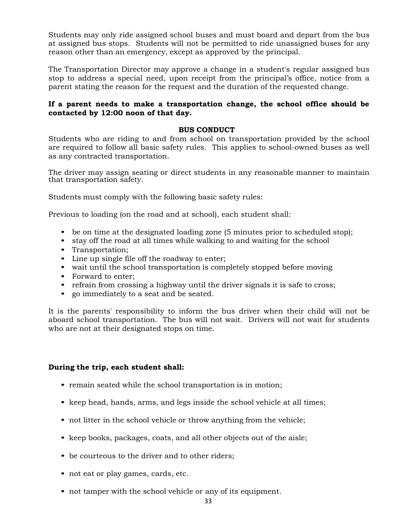Students may only ride assigned school buses and must board and depart from the bus at assigned bus stops. Students will not be permitted to ride unassigned buses for any reason other than an emergency, except as approved by the principal.

The Transportation Director may approve a change in a student's regular assigned bus stop to address a special need, upon receipt from the principal's office, notice from a parent stating the reason for the request and the duration of the requested change.

# **If a parent needs to make a transportation change, the school office should be contacted by 12:00 noon of that day.**

# **BUS CONDUCT**

Students who are riding to and from school on transportation provided by the school are required to follow all basic safety rules. This applies to school-owned buses as well as any contracted transportation.

The driver may assign seating or direct students in any reasonable manner to maintain that transportation safety.

Students must comply with the following basic safety rules:

Previous to loading (on the road and at school), each student shall:

- be on time at the designated loading zone (5 minutes prior to scheduled stop);
- stay off the road at all times while walking to and waiting for the school
- Transportation:
- Line up single file off the roadway to enter;
- wait until the school transportation is completely stopped before moving
- Forward to enter;
- refrain from crossing a highway until the driver signals it is safe to cross;
- go immediately to a seat and be seated.

It is the parents' responsibility to inform the bus driver when their child will not be aboard school transportation. The bus will not wait. Drivers will not wait for students who are not at their designated stops on time.

#### **During the trip, each student shall:**

- remain seated while the school transportation is in motion;
- keep head, hands, arms, and legs inside the school vehicle at all times;
- not litter in the school vehicle or throw anything from the vehicle;
- keep books, packages, coats, and all other objects out of the aisle;
- be courteous to the driver and to other riders;
- not eat or play games, cards, etc.
- not tamper with the school vehicle or any of its equipment.